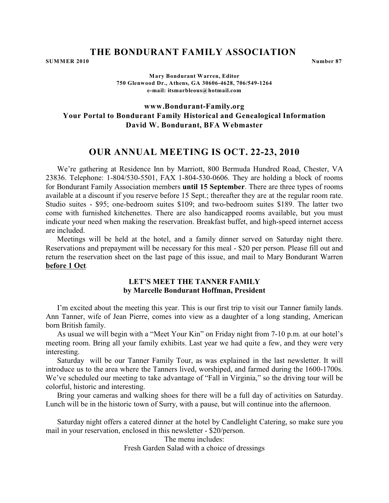**SUMMER 2010** Number 87

**Mary Bondurant Warren, Editor 750 Glenwood Dr., Athens, GA 30606-4628, 706/549-1264 e-mail: [itsmarbleous@hotmail.com](#page-0-0)**

**www.Bondurant-Family.org Your Portal to Bondurant Family Historical and Genealogical Information David W. Bondurant, BFA Webmaster**

## **OUR ANNUAL MEETING IS OCT. 22-23, 2010**

We're gathering at Residence Inn by Marriott, 800 Bermuda Hundred Road, Chester, VA 23836. Telephone: 1-804/530-5501, FAX 1-804-530-0606. They are holding a block of rooms for Bondurant Family Association members **until 15 September**. There are three types of rooms available at a discount if you reserve before 15 Sept.; thereafter they are at the regular room rate. Studio suites - \$95; one-bedroom suites \$109; and two-bedroom suites \$189. The latter two come with furnished kitchenettes. There are also handicapped rooms available, but you must indicate your need when making the reservation. Breakfast buffet, and high-speed internet access are included.

Meetings will be held at the hotel, and a family dinner served on Saturday night there. Reservations and prepayment will be necessary for this meal - \$20 per person. Please fill out and return the reservation sheet on the last page of this issue, and mail to Mary Bondurant Warren **before 1 Oct**.

## **LET'S MEET THE TANNER FAMILY by Marcelle Bondurant Hoffman, President**

I'm excited about the meeting this year. This is our first trip to visit our Tanner family lands. Ann Tanner, wife of Jean Pierre, comes into view as a daughter of a long standing, American born British family.

As usual we will begin with a "Meet Your Kin" on Friday night from 7-10 p.m. at our hotel's meeting room. Bring all your family exhibits. Last year we had quite a few, and they were very interesting.

Saturday will be our Tanner Family Tour, as was explained in the last newsletter. It will introduce us to the area where the Tanners lived, worshiped, and farmed during the 1600-1700s. We've scheduled our meeting to take advantage of "Fall in Virginia," so the driving tour will be colorful, historic and interesting.

Bring your cameras and walking shoes for there will be a full day of activities on Saturday. Lunch will be in the historic town of Surry, with a pause, but will continue into the afternoon.

<span id="page-0-0"></span>Saturday night offers a catered dinner at the hotel by Candlelight Catering, so make sure you mail in your reservation, enclosed in this newsletter - \$20/person.

> The menu includes: Fresh Garden Salad with a choice of dressings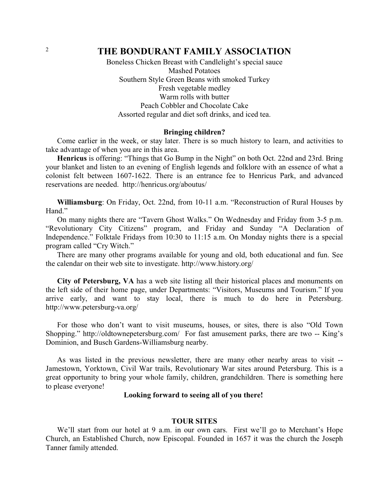Boneless Chicken Breast with Candlelight's special sauce Mashed Potatoes Southern Style Green Beans with smoked Turkey Fresh vegetable medley Warm rolls with butter Peach Cobbler and Chocolate Cake Assorted regular and diet soft drinks, and iced tea.

#### **Bringing children?**

Come earlier in the week, or stay later. There is so much history to learn, and activities to take advantage of when you are in this area.

**Henricus** is offering: "Things that Go Bump in the Night" on both Oct. 22nd and 23rd. Bring your blanket and listen to an evening of English legends and folklore with an essence of what a colonist felt between 1607-1622. There is an entrance fee to Henricus Park, and advanced reservations are needed. [http://henricus.org/aboutus/](#page-1-0)

**Williamsburg**: On Friday, Oct. 22nd, from 10-11 a.m. "Reconstruction of Rural Houses by Hand."

On many nights there are "Tavern Ghost Walks." On Wednesday and Friday from 3-5 p.m. "Revolutionary City Citizens" program, and Friday and Sunday "A Declaration of Independence." Folktale Fridays from 10:30 to 11:15 a.m. On Monday nights there is a special program called "Cry Witch."

There are many other programs available for young and old, both educational and fun. See the calendar on their web site to investigate. [http://www.history.org/](#page-1-0)

**City of Petersburg, VA** has a web site listing all their historical places and monuments on the left side of their home page, under Departments: "Visitors, Museums and Tourism." If you arrive early, and want to stay local, there is much to do here in Petersburg. [http://www.petersburg-va.org/](#page-1-0)

For those who don't want to visit museums, houses, or sites, there is also "Old Town Shopping." [http://oldtownepetersburg.com/](#page-1-0) For fast amusement parks, there are two -- King's Dominion, and Busch Gardens-Williamsburg nearby.

As was listed in the previous newsletter, there are many other nearby areas to visit -- Jamestown, Yorktown, Civil War trails, Revolutionary War sites around Petersburg. This is a great opportunity to bring your whole family, children, grandchildren. There is something here to please everyone!

### **Looking forward to seeing all of you there!**

### **TOUR SITES**

<span id="page-1-0"></span>We'll start from our hotel at 9 a.m. in our own cars. First we'll go to Merchant's Hope Church, an Established Church, now Episcopal. Founded in 1657 it was the church the Joseph Tanner family attended.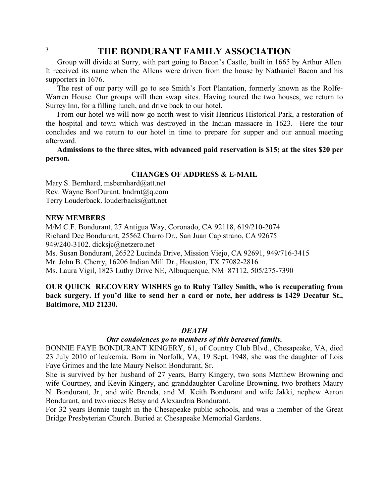Group will divide at Surry, with part going to Bacon's Castle, built in 1665 by Arthur Allen. It received its name when the Allens were driven from the house by Nathaniel Bacon and his supporters in 1676.

The rest of our party will go to see Smith's Fort Plantation, formerly known as the Rolfe-Warren House. Our groups will then swap sites. Having toured the two houses, we return to Surrey Inn, for a filling lunch, and drive back to our hotel.

From our hotel we will now go north-west to visit Henricus Historical Park, a restoration of the hospital and town which was destroyed in the Indian massacre in 1623. Here the tour concludes and we return to our hotel in time to prepare for supper and our annual meeting afterward.

**Admissions to the three sites, with advanced paid reservation is \$15; at the sites \$20 per person.**

### **CHANGES OF ADDRESS & E-MAIL**

Mary S. Bernhard, [msbernhard@att.net](#page-2-0) Rev. Wayne BonDurant. [bndrnt@q.com](#page-2-0) Terry Louderback. [louderbacks@att.net](#page-2-0)

### **NEW MEMBERS**

M/M C.F. Bondurant, 27 Antigua Way, Coronado, CA 92118, 619/210-2074 Richard Dee Bondurant, 25562 Charro Dr., San Juan Capistrano, CA 92675 949/240-3102. [dicksjc@netzero.net](#page-2-0)

Ms. Susan Bondurant, 26522 Lucinda Drive, Mission Viejo, CA 92691, 949/716-3415

Mr. John B. Cherry, 16206 Indian Mill Dr., Houston, TX 77082-2816

Ms. Laura Vigil, 1823 Luthy Drive NE, Albuquerque, NM 87112, 505/275-7390

**OUR QUICK RECOVERY WISHES go to Ruby Talley Smith, who is recuperating from back surgery. If you'd like to send her a card or note, her address is 1429 Decatur St., Baltimore, MD 21230.**

### *DEATH*

### *Our condolences go to members of this bereaved family.*

BONNIE FAYE BONDURANT KINGERY, 61, of Country Club Blvd., Chesapeake, VA, died 23 July 2010 of leukemia. Born in Norfolk, VA, 19 Sept. 1948, she was the daughter of Lois Faye Grimes and the late Maury Nelson Bondurant, Sr.

She is survived by her husband of 27 years, Barry Kingery, two sons Matthew Browning and wife Courtney, and Kevin Kingery, and granddaughter Caroline Browning, two brothers Maury N. Bondurant, Jr., and wife Brenda, and M. Keith Bondurant and wife Jakki, nephew Aaron Bondurant, and two nieces Betsy and Alexandria Bondurant.

<span id="page-2-0"></span>For 32 years Bonnie taught in the Chesapeake public schools, and was a member of the Great Bridge Presbyterian Church. Buried at Chesapeake Memorial Gardens.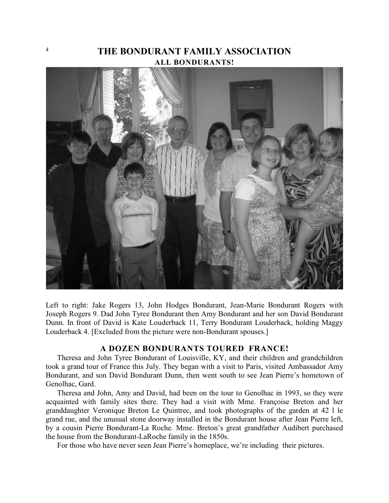# <sup>4</sup> **THE BONDURANT FAMILY ASSOCIATION ALL BONDURANTS!**



Left to right: Jake Rogers 13, John Hodges Bondurant, Jean-Marie Bondurant Rogers with Joseph Rogers 9. Dad John Tyree Bondurant then Amy Bondurant and her son David Bondurant Dunn. In front of David is Kate Louderback 11, Terry Bondurant Louderback, holding Maggy Louderback 4. [Excluded from the picture were non-Bondurant spouses.]

### **A DOZEN BONDURANTS TOURED FRANCE!**

Theresa and John Tyree Bondurant of Louisville, KY, and their children and grandchildren took a grand tour of France this July. They began with a visit to Paris, visited Ambassador Amy Bondurant, and son David Bondurant Dunn, then went south to see Jean Pierre's hometown of Genolhac, Gard.

Theresa and John, Amy and David, had been on the tour to Genolhac in 1993, so they were acquainted with family sites there. They had a visit with Mme. Françoise Breton and her granddaughter Veronique Breton Le Quintrec, and took photographs of the garden at 42 l le grand rue, and the unusual stone doorway installed in the Bondurant house after Jean Pierre left, by a cousin Pierre Bondurant-La Roche. Mme. Breton's great grandfather Audibert purchased the house from the Bondurant-LaRoche family in the 1850s.

For those who have never seen Jean Pierre's homeplace, we're including their pictures.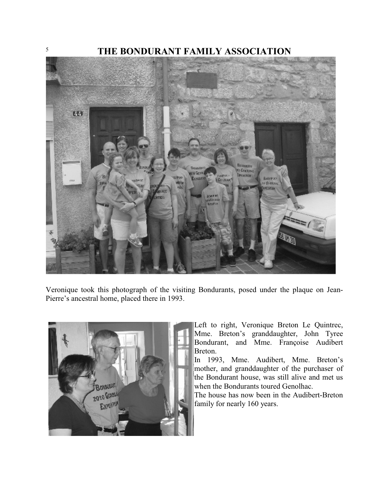

Veronique took this photograph of the visiting Bondurants, posed under the plaque on Jean-Pierre's ancestral home, placed there in 1993.



Left to right, Veronique Breton Le Quintrec, Mme. Breton's granddaughter, John Tyree Bondurant, and Mme. Françoise Audibert Breton.

In 1993, Mme. Audibert, Mme. Breton's mother, and granddaughter of the purchaser of the Bondurant house, was still alive and met us when the Bondurants toured Genolhac.

The house has now been in the Audibert-Breton family for nearly 160 years.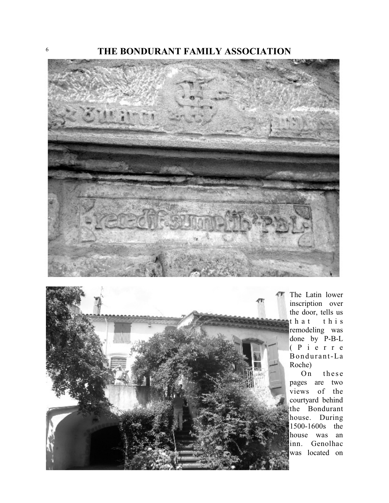



The Latin lower inscription over the door, tells us that this remodeling was done by P-B-L ( P ierre Bondurant-La Roche)

On these pages are two views of the courtyard behind the Bondurant house. During 1500-1600s the house was an inn. Genolhac was located on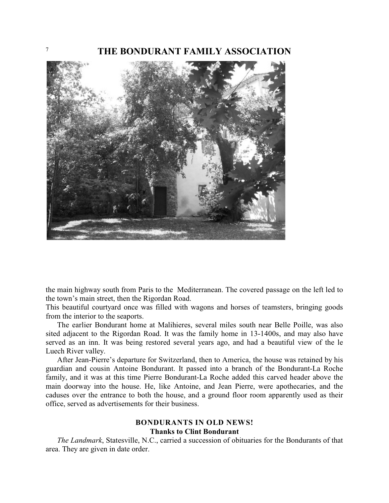

the main highway south from Paris to the Mediterranean. The covered passage on the left led to the town's main street, then the Rigordan Road.

This beautiful courtyard once was filled with wagons and horses of teamsters, bringing goods from the interior to the seaports.

The earlier Bondurant home at Malihieres, several miles south near Belle Poille, was also sited adjacent to the Rigordan Road. It was the family home in 13-1400s, and may also have served as an inn. It was being restored several years ago, and had a beautiful view of the le Luech River valley.

After Jean-Pierre's departure for Switzerland, then to America, the house was retained by his guardian and cousin Antoine Bondurant. It passed into a branch of the Bondurant-La Roche family, and it was at this time Pierre Bondurant-La Roche added this carved header above the main doorway into the house. He, like Antoine, and Jean Pierre, were apothecaries, and the caduses over the entrance to both the house, and a ground floor room apparently used as their office, served as advertisements for their business.

## **BONDURANTS IN OLD NEWS! Thanks to Clint Bondurant**

*The Landmark*, Statesville, N.C., carried a succession of obituaries for the Bondurants of that area. They are given in date order.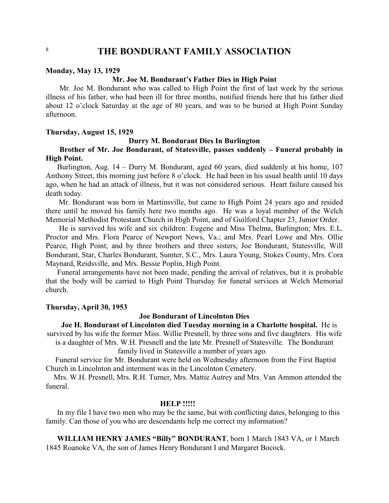#### **Monday, May 13, 1929**

### **Mr. Joe M. Bondurant's Father Dies in High Point**

Mr. Joe M. Bondurant who was called to High Point the first of last week by the serious illness of his father, who had been ill for three months, notified friends here that his father died about 12 o'clock Saturday at the age of 80 years, and was to be buried at High Point Sunday afternoon.

### **Thursday, August 15, 1929**

### **Durry M. Bondurant Dies In Burlington**

### **Brother of Mr. Joe Bondurant, of Statesville, passes suddenly – Funeral probably in High Point.**

Burlington, Aug. 14 – Durry M. Bondurant, aged 60 years, died suddenly at his home, 107 Anthony Street, this morning just before 8 o'clock. He had been in his usual health until 10 days ago, when he had an attack of illness, but it was not considered serious. Heart failure caused his death today.

 Mr. Bondurant was born in Martinsville, but came to High Point 24 years ago and resided there until he moved his family here two months ago. He was a loyal member of the Welch Memorial Methodist Protestant Church in High Point, and of Guilford Chapter 23, Junior Order.

 He is survived his wife and six children: Eugene and Miss Thelma, Burlington; Mrs. E.L. Proctor and Mrs. Flora Pearce of Newport News, Va.; and Mrs. Pearl Lowe and Mrs. Ollie Pearce, High Point; and by three brothers and three sisters, Joe Bondurant, Statesville, Will Bondurant, Star, Charles Bondurant, Sumter, S.C., Mrs. Laura Young, Stokes County, Mrs. Cora Maynard, Reidsville, and Mrs. Bessie Poplin, High Point.

 Funeral arrangements have not been made, pending the arrival of relatives, but it is probable that the body will be carried to High Point Thursday for funeral services at Welch Memorial church.

### **Thursday, April 30, 1953**

### **Joe Bondurant of Lincolnton Dies**

 **Joe H. Bondurant of Lincolnton died Tuesday morning in a Charlotte hospital.** He is survived by his wife the former Miss. Willie Presnell, by three sons and five daughters. His wife is a daughter of Mrs. W.H. Presnell and the late Mr. Presnell of Statesville. The Bondurant

family lived in Statesville a number of years ago.

 Funeral service for Mr. Bondurant were held on Wednesday afternoon from the First Baptist Church in Lincolnton and interment was in the Lincolnton Cemetery.

Mrs. W.H. Presnell, Mrs. R.H. Turner, Mrs. Mattie Autrey and Mrs. Van Ammon attended the funeral.

### **HELP !!!!!**

In my file I have two men who may be the same, but with conflicting dates, belonging to this family. Can those of you who are descendants help me correct my information?

**WILLIAM HENRY JAMES "Billy" BONDURANT**, born 1 March 1843 VA, or 1 March 1845 Roanoke VA, the son of James Henry Bondurant I and Margaret Bocock.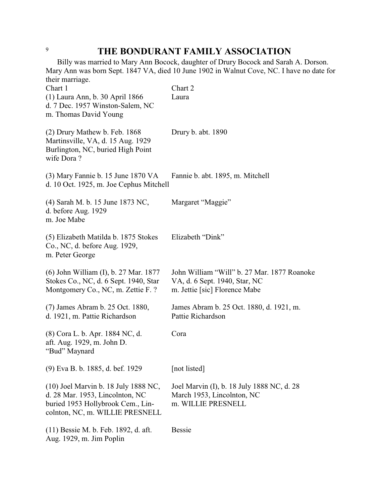Billy was married to Mary Ann Bocock, daughter of Drury Bocock and Sarah A. Dorson. Mary Ann was born Sept. 1847 VA, died 10 June 1902 in Walnut Cove, NC. I have no date for their marriage.

| Chart 1<br>(1) Laura Ann, b. 30 April 1866                                                                                                      | Chart 2<br>Laura                                                                                              |
|-------------------------------------------------------------------------------------------------------------------------------------------------|---------------------------------------------------------------------------------------------------------------|
| d. 7 Dec. 1957 Winston-Salem, NC<br>m. Thomas David Young                                                                                       |                                                                                                               |
| (2) Drury Mathew b. Feb. 1868<br>Martinsville, VA, d. 15 Aug. 1929<br>Burlington, NC, buried High Point<br>wife Dora?                           | Drury b. abt. 1890                                                                                            |
| (3) Mary Fannie b. 15 June 1870 VA<br>d. 10 Oct. 1925, m. Joe Cephus Mitchell                                                                   | Fannie b. abt. 1895, m. Mitchell                                                                              |
| (4) Sarah M. b. 15 June 1873 NC,<br>d. before Aug. 1929<br>m. Joe Mabe                                                                          | Margaret "Maggie"                                                                                             |
| (5) Elizabeth Matilda b. 1875 Stokes<br>Co., NC, d. before Aug. 1929,<br>m. Peter George                                                        | Elizabeth "Dink"                                                                                              |
| (6) John William (I), b. 27 Mar. 1877<br>Stokes Co., NC, d. 6 Sept. 1940, Star<br>Montgomery Co., NC, m. Zettie F. ?                            | John William "Will" b. 27 Mar. 1877 Roanoke<br>VA, d. 6 Sept. 1940, Star, NC<br>m. Jettie [sic] Florence Mabe |
| (7) James Abram b. 25 Oct. 1880,<br>d. 1921, m. Pattie Richardson                                                                               | James Abram b. 25 Oct. 1880, d. 1921, m.<br>Pattie Richardson                                                 |
| (8) Cora L. b. Apr. 1884 NC, d.<br>aft. Aug. 1929, m. John D.<br>"Bud" Maynard                                                                  | Cora                                                                                                          |
| (9) Eva B. b. 1885, d. bef. 1929                                                                                                                | [not listed]                                                                                                  |
| (10) Joel Marvin b. 18 July 1888 NC,<br>d. 28 Mar. 1953, Lincolnton, NC<br>buried 1953 Hollybrook Cem., Lin-<br>colnton, NC, m. WILLIE PRESNELL | Joel Marvin (I), b. 18 July 1888 NC, d. 28<br>March 1953, Lincolnton, NC<br>m. WILLIE PRESNELL                |
| (11) Bessie M. b. Feb. 1892, d. aft.<br>Aug. 1929, m. Jim Poplin                                                                                | <b>Bessie</b>                                                                                                 |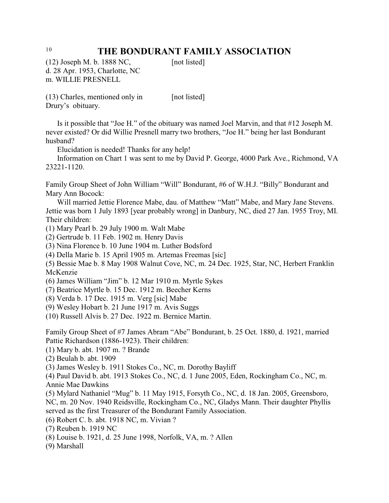$(12)$  Joseph M. b. 1888 NC, [not listed] d. 28 Apr. 1953, Charlotte, NC m. WILLIE PRESNELL

(13) Charles, mentioned only in [not listed] Drury's obituary.

Is it possible that "Joe H." of the obituary was named Joel Marvin, and that #12 Joseph M. never existed? Or did Willie Presnell marry two brothers, "Joe H." being her last Bondurant husband?

Elucidation is needed! Thanks for any help!

Information on Chart 1 was sent to me by David P. George, 4000 Park Ave., Richmond, VA 23221-1120.

Family Group Sheet of John William "Will" Bondurant, #6 of W.H.J. "Billy" Bondurant and Mary Ann Bocock:

Will married Jettie Florence Mabe, dau. of Matthew "Matt" Mabe, and Mary Jane Stevens. Jettie was born 1 July 1893 [year probably wrong] in Danbury, NC, died 27 Jan. 1955 Troy, MI. Their children:

- (1) Mary Pearl b. 29 July 1900 m. Walt Mabe
- (2) Gertrude b. 11 Feb. 1902 m. Henry Davis
- (3) Nina Florence b. 10 June 1904 m. Luther Bodsford
- (4) Della Marie b. 15 April 1905 m. Artemas Freemas [sic]

(5) Bessie Mae b. 8 May 1908 Walnut Cove, NC, m. 24 Dec. 1925, Star, NC, Herbert Franklin McKenzie

- (6) James William "Jim" b. 12 Mar 1910 m. Myrtle Sykes
- (7) Beatrice Myrtle b. 15 Dec. 1912 m. Beecher Kerns
- (8) Verda b. 17 Dec. 1915 m. Verg [sic] Mabe
- (9) Wesley Hobart b. 21 June 1917 m. Avis Suggs
- (10) Russell Alvis b. 27 Dec. 1922 m. Bernice Martin.

Family Group Sheet of #7 James Abram "Abe" Bondurant, b. 25 Oct. 1880, d. 1921, married Pattie Richardson (1886-1923). Their children:

- (1) Mary b. abt. 1907 m. ? Brande
- (2) Beulah b. abt. 1909

(3) James Wesley b. 1911 Stokes Co., NC, m. Dorothy Bayliff

(4) Paul David b. abt. 1913 Stokes Co., NC, d. 1 June 2005, Eden, Rockingham Co., NC, m. Annie Mae Dawkins

(5) Mylard Nathaniel "Mug" b. 11 May 1915, Forsyth Co., NC, d. 18 Jan. 2005, Greensboro, NC, m. 20 Nov. 1940 Reidsville, Rockingham Co., NC, Gladys Mann. Their daughter Phyllis served as the first Treasurer of the Bondurant Family Association.

(6) Robert C. b. abt. 1918 NC, m. Vivian ?

(7) Reuben b. 1919 NC

(8) Louise b. 1921, d. 25 June 1998, Norfolk, VA, m. ? Allen

(9) Marshall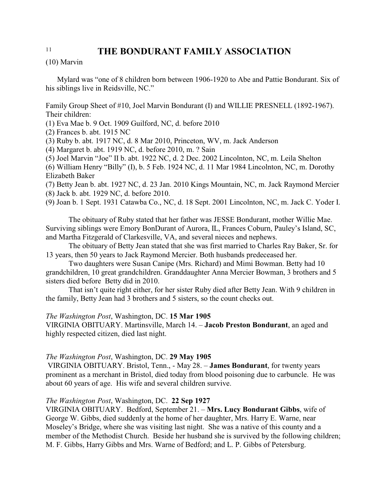(10) Marvin

Mylard was "one of 8 children born between 1906-1920 to Abe and Pattie Bondurant. Six of his siblings live in Reidsville, NC."

Family Group Sheet of #10, Joel Marvin Bondurant (I) and WILLIE PRESNELL (1892-1967). Their children:

(1) Eva Mae b. 9 Oct. 1909 Guilford, NC, d. before 2010

(2) Frances b. abt. 1915 NC

(3) Ruby b. abt. 1917 NC, d. 8 Mar 2010, Princeton, WV, m. Jack Anderson

(4) Margaret b. abt. 1919 NC, d. before 2010, m. ? Sain

(5) Joel Marvin "Joe" II b. abt. 1922 NC, d. 2 Dec. 2002 Lincolnton, NC, m. Leila Shelton

(6) William Henry "Billy" (I), b. 5 Feb. 1924 NC, d. 11 Mar 1984 Lincolnton, NC, m. Dorothy Elizabeth Baker

(7) Betty Jean b. abt. 1927 NC, d. 23 Jan. 2010 Kings Mountain, NC, m. Jack Raymond Mercier (8) Jack b. abt. 1929 NC, d. before 2010.

(9) Joan b. 1 Sept. 1931 Catawba Co., NC, d. 18 Sept. 2001 Lincolnton, NC, m. Jack C. Yoder I.

The obituary of Ruby stated that her father was JESSE Bondurant, mother Willie Mae. Surviving siblings were Emory BonDurant of Aurora, IL, Frances Coburn, Pauley's Island, SC, and Martha Fitzgerald of Clarkesville, VA, and several nieces and nephews.

The obituary of Betty Jean stated that she was first married to Charles Ray Baker, Sr. for 13 years, then 50 years to Jack Raymond Mercier. Both husbands predeceased her.

Two daughters were Susan Canipe (Mrs. Richard) and Mimi Bowman. Betty had 10 grandchildren, 10 great grandchildren. Granddaughter Anna Mercier Bowman, 3 brothers and 5 sisters died before Betty did in 2010.

That isn't quite right either, for her sister Ruby died after Betty Jean. With 9 children in the family, Betty Jean had 3 brothers and 5 sisters, so the count checks out.

### *The Washington Post*, Washington, DC. **15 Mar 1905**

VIRGINIA OBITUARY. Martinsville, March 14. – **Jacob Preston Bondurant**, an aged and highly respected citizen, died last night.

### *The Washington Post*, Washington, DC. **29 May 1905**

 VIRGINIA OBITUARY. Bristol, Tenn., - May 28. – **James Bondurant**, for twenty years prominent as a merchant in Bristol, died today from blood poisoning due to carbuncle. He was about 60 years of age. His wife and several children survive.

### *The Washington Post*, Washington, DC. **22 Sep 1927**

VIRGINIA OBITUARY. Bedford, September 21. – **Mrs. Lucy Bondurant Gibbs**, wife of George W. Gibbs, died suddenly at the home of her daughter, Mrs. Harry E. Warne, near Moseley's Bridge, where she was visiting last night. She was a native of this county and a member of the Methodist Church. Beside her husband she is survived by the following children; M. F. Gibbs, Harry Gibbs and Mrs. Warne of Bedford; and L. P. Gibbs of Petersburg.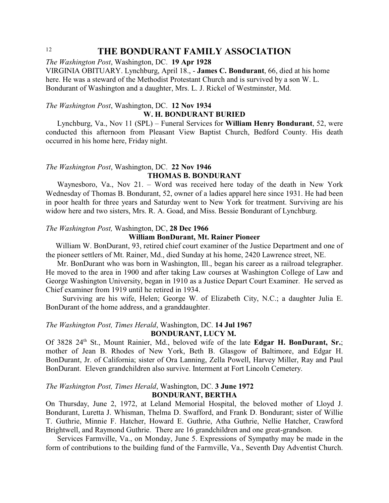*The Washington Post*, Washington, DC. **19 Apr 1928**

VIRGINIA OBITUARY. Lynchburg, April 18., - **James C. Bondurant**, 66, died at his home here. He was a steward of the Methodist Protestant Church and is survived by a son W. L. Bondurant of Washington and a daughter, Mrs. L. J. Rickel of Westminster, Md.

### *The Washington Post*, Washington, DC. **12 Nov 1934**

### **W. H. BONDURANT BURIED**

Lynchburg, Va., Nov 11 (SPL) – Funeral Services for **William Henry Bondurant**, 52, were conducted this afternoon from Pleasant View Baptist Church, Bedford County. His death occurred in his home here, Friday night.

### *The Washington Post*, Washington, DC. **22 Nov 1946 THOMAS B. BONDURANT**

Waynesboro, Va., Nov 21. – Word was received here today of the death in New York Wednesday of Thomas B. Bondurant, 52, owner of a ladies apparel here since 1931. He had been in poor health for three years and Saturday went to New York for treatment. Surviving are his widow here and two sisters, Mrs. R. A. Goad, and Miss. Bessie Bondurant of Lynchburg.

### *The Washington Post,* Washington, DC, **28 Dec 1966**

### **William BonDurant, Mt. Rainer Pioneer**

 William W. BonDurant, 93, retired chief court examiner of the Justice Department and one of the pioneer settlers of Mt. Rainer, Md., died Sunday at his home, 2420 Lawrence street, NE.

 Mr. BonDurant who was born in Washington, Ill., began his career as a railroad telegrapher. He moved to the area in 1900 and after taking Law courses at Washington College of Law and George Washington University, began in 1910 as a Justice Depart Court Examiner. He served as Chief examiner from 1919 until he retired in 1934.

 Surviving are his wife, Helen; George W. of Elizabeth City, N.C.; a daughter Julia E. BonDurant of the home address, and a granddaughter.

# *The Washington Post, Times Herald*, Washington, DC. **14 Jul 1967**

## **BONDURANT, LUCY M.**

Of 3828 24<sup>th</sup> St., Mount Rainier, Md., beloved wife of the late Edgar H. BonDurant, Sr.; mother of Jean B. Rhodes of New York, Beth B. Glasgow of Baltimore, and Edgar H. BonDurant, Jr. of California; sister of Ora Lanning, Zella Powell, Harvey Miller, Ray and Paul BonDurant. Eleven grandchildren also survive. Interment at Fort Lincoln Cemetery.

### *The Washington Post, Times Herald*, Washington, DC. **3 June 1972 BONDURANT, BERTHA**

On Thursday, June 2, 1972, at Leland Memorial Hospital, the beloved mother of Lloyd J. Bondurant, Luretta J. Whisman, Thelma D. Swafford, and Frank D. Bondurant; sister of Willie T. Guthrie, Minnie F. Hatcher, Howard E. Guthrie, Atha Guthrie, Nellie Hatcher, Crawford Brightwell, and Raymond Guthrie. There are 16 grandchildren and one great-grandson.

Services Farmville, Va., on Monday, June 5. Expressions of Sympathy may be made in the form of contributions to the building fund of the Farmville, Va., Seventh Day Adventist Church.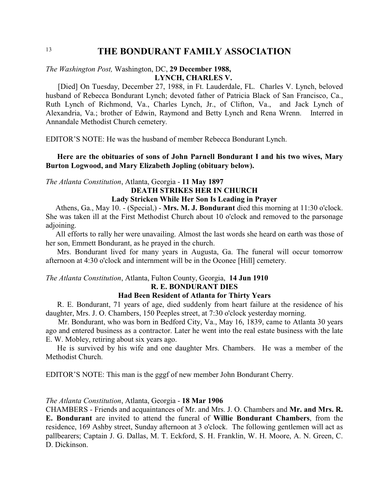### *The Washington Post,* Washington, DC, **29 December 1988, LYNCH, CHARLES V.**

 [Died] On Tuesday, December 27, 1988, in Ft. Lauderdale, FL. Charles V. Lynch, beloved husband of Rebecca Bondurant Lynch; devoted father of Patricia Black of San Francisco, Ca., Ruth Lynch of Richmond, Va., Charles Lynch, Jr., of Clifton, Va., and Jack Lynch of Alexandria, Va.; brother of Edwin, Raymond and Betty Lynch and Rena Wrenn. Interred in Annandale Methodist Church cemetery.

EDITOR'S NOTE: He was the husband of member Rebecca Bondurant Lynch.

**Here are the obituaries of sons of John Parnell Bondurant I and his two wives, Mary Burton Logwood, and Mary Elizabeth Jopling (obituary below).**

### *The Atlanta Constitution*, Atlanta, Georgia - **11 May 1897**

# **DEATH STRIKES HER IN CHURCH**

## **Lady Stricken While Her Son Is Leading in Prayer**

 Athens, Ga., May 10. - (Special,) - **Mrs. M. J. Bondurant** died this morning at 11:30 o'clock. She was taken ill at the First Methodist Church about 10 o'clock and removed to the parsonage adjoining.

 All efforts to rally her were unavailing. Almost the last words she heard on earth was those of her son, Emmett Bondurant, as he prayed in the church.

Mrs. Bondurant lived for many years in Augusta, Ga. The funeral will occur tomorrow afternoon at 4:30 o'clock and internment will be in the Oconee [Hill] cemetery.

### *The Atlanta Constitution*, Atlanta, Fulton County, Georgia, **14 Jun 1910 R. E. BONDURANT DIES**

### **Had Been Resident of Atlanta for Thirty Years**

R. E. Bondurant, 71 years of age, died suddenly from heart failure at the residence of his daughter, Mrs. J. O. Chambers, 150 Peeples street, at 7:30 o'clock yesterday morning.

 Mr. Bondurant, who was born in Bedford City, Va., May 16, 1839, came to Atlanta 30 years ago and entered business as a contractor. Later he went into the real estate business with the late E. W. Mobley, retiring about six years ago.

He is survived by his wife and one daughter Mrs. Chambers. He was a member of the Methodist Church.

EDITOR'S NOTE: This man is the gggf of new member John Bondurant Cherry.

### *The Atlanta Constitution*, Atlanta, Georgia - **18 Mar 1906**

CHAMBERS - Friends and acquaintances of Mr. and Mrs. J. O. Chambers and **Mr. and Mrs. R. E. Bondurant** are invited to attend the funeral of **Willie Bondurant Chambers**, from the residence, 169 Ashby street, Sunday afternoon at 3 o'clock. The following gentlemen will act as pallbearers; Captain J. G. Dallas, M. T. Eckford, S. H. Franklin, W. H. Moore, A. N. Green, C. D. Dickinson.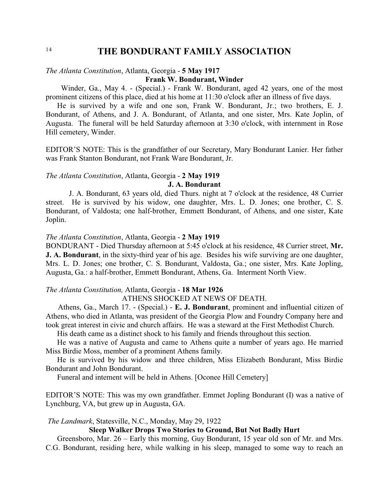### *The Atlanta Constitution*, Atlanta, Georgia - **5 May 1917**

### **Frank W. Bondurant, Winder**

 Winder, Ga., May 4. - (Special.) - Frank W. Bondurant, aged 42 years, one of the most prominent citizens of this place, died at his home at 11:30 o'clock after an illness of five days.

He is survived by a wife and one son, Frank W. Bondurant, Jr.; two brothers, E. J. Bondurant, of Athens, and J. A. Bondurant, of Atlanta, and one sister, Mrs. Kate Joplin, of Augusta. The funeral will be held Saturday afternoon at 3:30 o'clock, with internment in Rose Hill cemetery, Winder.

EDITOR'S NOTE: This is the grandfather of our Secretary, Mary Bondurant Lanier. Her father was Frank Stanton Bondurant, not Frank Ware Bondurant, Jr.

### *The Atlanta Constitution*, Atlanta, Georgia - **2 May 1919**

### **J. A. Bondurant**

 J. A. Bondurant, 63 years old, died Thurs. night at 7 o'clock at the residence, 48 Currier street. He is survived by his widow, one daughter, Mrs. L. D. Jones; one brother, C. S. Bondurant, of Valdosta; one half-brother, Emmett Bondurant, of Athens, and one sister, Kate Joplin.

### *The Atlanta Constitution*, Atlanta, Georgia - **2 May 1919**

BONDURANT - Died Thursday afternoon at 5:45 o'clock at his residence, 48 Currier street, **Mr. J. A. Bondurant**, in the sixty-third year of his age. Besides his wife surviving are one daughter, Mrs. L. D. Jones; one brother, C. S. Bondurant, Valdosta, Ga.; one sister, Mrs. Kate Jopling, Augusta, Ga.: a half-brother, Emmett Bondurant, Athens, Ga. Interment North View.

### *The Atlanta Constitution,* Atlanta, Georgia - **18 Mar 1926**

### ATHENS SHOCKED AT NEWS OF DEATH.

 Athens, Ga., March 17. - (Special.) - **E. J. Bondurant**, prominent and influential citizen of Athens, who died in Atlanta, was president of the Georgia Plow and Foundry Company here and took great interest in civic and church affairs. He was a steward at the First Methodist Church.

His death came as a distinct shock to his family and friends throughout this section.

He was a native of Augusta and came to Athens quite a number of years ago. He married Miss Birdie Moss, member of a prominent Athens family.

He is survived by his widow and three children, Miss Elizabeth Bondurant, Miss Birdie Bondurant and John Bondurant.

Funeral and intement will be held in Athens. [Oconee Hill Cemetery]

EDITOR'S NOTE: This was my own grandfather. Emmet Jopling Bondurant (I) was a native of Lynchburg, VA, but grew up in Augusta, GA.

*The Landmark*, Statesville, N.C., Monday, May 29, 1922

### **Sleep Walker Drops Two Stories to Ground, But Not Badly Hurt**

Greensboro, Mar. 26 – Early this morning, Guy Bondurant, 15 year old son of Mr. and Mrs. C.G. Bondurant, residing here, while walking in his sleep, managed to some way to reach an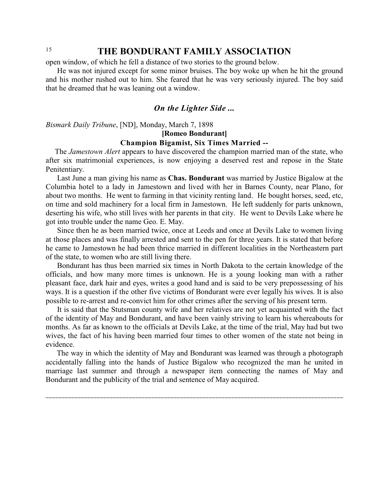open window, of which he fell a distance of two stories to the ground below.

He was not injured except for some minor bruises. The boy woke up when he hit the ground and his mother rushed out to him. She feared that he was very seriously injured. The boy said that he dreamed that he was leaning out a window.

## *On the Lighter Side ...*

*Bismark Daily Tribune*, [ND], Monday, March 7, 1898

**[Romeo Bondurant]**

### **Champion Bigamist, Six Times Married --**

The *Jamestown Alert* appears to have discovered the champion married man of the state, who after six matrimonial experiences, is now enjoying a deserved rest and repose in the State Penitentiary.

Last June a man giving his name as **Chas. Bondurant** was married by Justice Bigalow at the Columbia hotel to a lady in Jamestown and lived with her in Barnes County, near Plano, for about two months. He went to farming in that vicinity renting land. He bought horses, seed, etc, on time and sold machinery for a local firm in Jamestown. He left suddenly for parts unknown, deserting his wife, who still lives with her parents in that city. He went to Devils Lake where he got into trouble under the name Geo. E. May.

Since then he as been married twice, once at Leeds and once at Devils Lake to women living at those places and was finally arrested and sent to the pen for three years. It is stated that before he came to Jamestown he had been thrice married in different localities in the Northeastern part of the state, to women who are still living there.

Bondurant has thus been married six times in North Dakota to the certain knowledge of the officials, and how many more times is unknown. He is a young looking man with a rather pleasant face, dark hair and eyes, writes a good hand and is said to be very prepossessing of his ways. It is a question if the other five victims of Bondurant were ever legally his wives. It is also possible to re-arrest and re-convict him for other crimes after the serving of his present term.

It is said that the Stutsman county wife and her relatives are not yet acquainted with the fact of the identity of May and Bondurant, and have been vainly striving to learn his whereabouts for months. As far as known to the officials at Devils Lake, at the time of the trial, May had but two wives, the fact of his having been married four times to other women of the state not being in evidence.

 The way in which the identity of May and Bondurant was learned was through a photograph accidentally falling into the hands of Justice Bigalow who recognized the man he united in marriage last summer and through a newspaper item connecting the names of May and Bondurant and the publicity of the trial and sentence of May acquired.

**\_\_\_\_\_\_\_\_\_\_\_\_\_\_\_\_\_\_\_\_\_\_\_\_\_\_\_\_\_\_\_\_\_\_\_\_\_\_\_\_\_\_\_\_\_\_\_\_\_\_\_\_\_\_\_\_\_\_\_\_\_\_\_\_\_\_\_\_\_\_\_\_\_\_\_\_\_\_\_\_\_\_\_\_\_\_\_\_\_\_\_\_\_**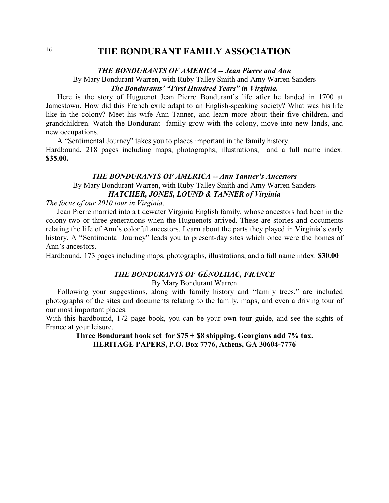### *THE BONDURANTS OF AMERICA -- Jean Pierre and Ann*

### By Mary Bondurant Warren, with Ruby Talley Smith and Amy Warren Sanders *The Bondurants' "First Hundred Years" in Virginia.*

Here is the story of Huguenot Jean Pierre Bondurant's life after he landed in 1700 at Jamestown. How did this French exile adapt to an English-speaking society? What was his life like in the colony? Meet his wife Ann Tanner, and learn more about their five children, and grandchildren. Watch the Bondurant family grow with the colony, move into new lands, and new occupations.

A "Sentimental Journey" takes you to places important in the family history. Hardbound, 218 pages including maps, photographs, illustrations, and a full name index. **\$35.00.** 

### *THE BONDURANTS OF AMERICA -- Ann Tanner's Ancestors* By Mary Bondurant Warren, with Ruby Talley Smith and Amy Warren Sanders *HATCHER, JONES, LOUND & TANNER of Virginia*

*The focus of our 2010 tour in Virginia*.

Jean Pierre married into a tidewater Virginia English family, whose ancestors had been in the colony two or three generations when the Huguenots arrived. These are stories and documents relating the life of Ann's colorful ancestors. Learn about the parts they played in Virginia's early history. A "Sentimental Journey" leads you to present-day sites which once were the homes of Ann's ancestors.

Hardbound, 173 pages including maps, photographs, illustrations, and a full name index. **\$30.00**

## *THE BONDURANTS OF GÉNOLHAC, FRANCE*

By Mary Bondurant Warren

Following your suggestions, along with family history and "family trees," are included photographs of the sites and documents relating to the family, maps, and even a driving tour of our most important places.

With this hardbound, 172 page book, you can be your own tour guide, and see the sights of France at your leisure.

**Three Bondurant book set for \$75 + \$8 shipping. Georgians add 7% tax. HERITAGE PAPERS, P.O. Box 7776, Athens, GA 30604-7776**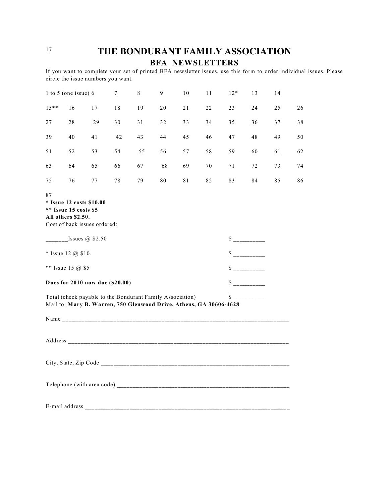<sup>17</sup> **THE BONDURANT FAMILY ASSOCIATION BFA NEWSLETTERS**

If you want to complete your set of printed BFA newsletter issues, use this form to order individual issues. Please circle the issue numbers you want.

|         | 1 to 5 (one issue) $6$                                                                                                          |    | 7  | 8  | 9  | 10 | 11 | $12*$                       | 13                                                                                                                                                                                                                                   | 14 |    |
|---------|---------------------------------------------------------------------------------------------------------------------------------|----|----|----|----|----|----|-----------------------------|--------------------------------------------------------------------------------------------------------------------------------------------------------------------------------------------------------------------------------------|----|----|
| $15***$ | 16                                                                                                                              | 17 | 18 | 19 | 20 | 21 | 22 | 23                          | 24                                                                                                                                                                                                                                   | 25 | 26 |
| 27      | 28                                                                                                                              | 29 | 30 | 31 | 32 | 33 | 34 | 35                          | 36                                                                                                                                                                                                                                   | 37 | 38 |
| 39      | 40                                                                                                                              | 41 | 42 | 43 | 44 | 45 | 46 | 47                          | 48                                                                                                                                                                                                                                   | 49 | 50 |
| 51      | 52                                                                                                                              | 53 | 54 | 55 | 56 | 57 | 58 | 59                          | 60                                                                                                                                                                                                                                   | 61 | 62 |
| 63      | 64                                                                                                                              | 65 | 66 | 67 | 68 | 69 | 70 | 71                          | 72                                                                                                                                                                                                                                   | 73 | 74 |
| 75      | 76                                                                                                                              | 77 | 78 | 79 | 80 | 81 | 82 | 83                          | 84                                                                                                                                                                                                                                   | 85 | 86 |
| 87      | * Issue 12 costs \$10.00<br>** Issue 15 costs \$5<br>All others \$2.50.<br>Cost of back issues ordered:                         |    |    |    |    |    |    |                             |                                                                                                                                                                                                                                      |    |    |
|         | Issues $\omega$ \$2.50                                                                                                          |    |    |    |    |    |    | $\frac{\text{S}}{\text{S}}$ |                                                                                                                                                                                                                                      |    |    |
|         | * Issue 12 $(a)$ \$10.                                                                                                          |    |    |    |    |    |    | $\frac{\text{S}}{\text{S}}$ |                                                                                                                                                                                                                                      |    |    |
|         | ** Issue 15 @ \$5                                                                                                               |    |    |    |    |    |    |                             |                                                                                                                                                                                                                                      |    |    |
|         | Dues for 2010 now due (\$20.00)                                                                                                 |    |    |    |    |    |    | $s$ ___________             |                                                                                                                                                                                                                                      |    |    |
|         | Total (check payable to the Bondurant Family Association)<br>Mail to: Mary B. Warren, 750 Glenwood Drive, Athens, GA 30606-4628 |    |    |    |    |    |    | \$                          | <u>and a second contract of the second second and the second second second and second second second second second second second second second second second second second second second second second second second second secon</u> |    |    |
|         |                                                                                                                                 |    |    |    |    |    |    |                             |                                                                                                                                                                                                                                      |    |    |
|         |                                                                                                                                 |    |    |    |    |    |    |                             |                                                                                                                                                                                                                                      |    |    |
|         |                                                                                                                                 |    |    |    |    |    |    |                             |                                                                                                                                                                                                                                      |    |    |
|         |                                                                                                                                 |    |    |    |    |    |    |                             |                                                                                                                                                                                                                                      |    |    |
|         |                                                                                                                                 |    |    |    |    |    |    |                             |                                                                                                                                                                                                                                      |    |    |